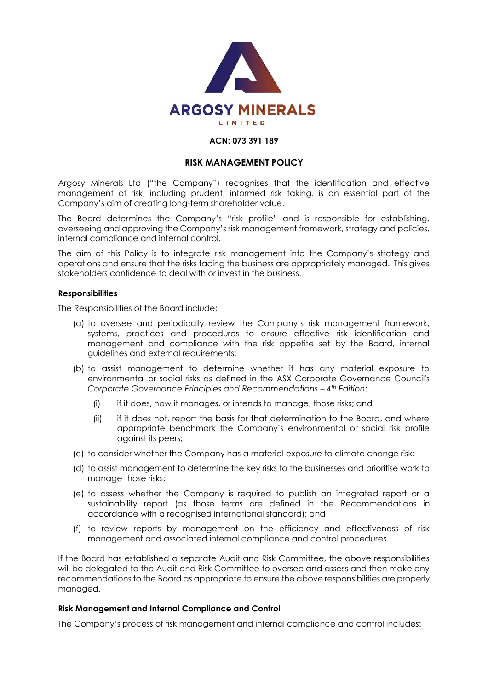

#### **ACN: 073 391 189**

# **RISK MANAGEMENT POLICY**

Argosy Minerals Ltd ("the Company") recognises that the identification and effective management of risk, including prudent, informed risk taking, is an essential part of the Company's aim of creating long-term shareholder value.

The Board determines the Company's "risk profile" and is responsible for establishing, overseeing and approving the Company's risk management framework, strategy and policies, internal compliance and internal control.

The aim of this Policy is to integrate risk management into the Company's strategy and operations and ensure that the risks facing the business are appropriately managed. This gives stakeholders confidence to deal with or invest in the business.

#### **Responsibilities**

The Responsibilities of the Board include:

- (a) to oversee and periodically review the Company's risk management framework, systems, practices and procedures to ensure effective risk identification and management and compliance with the risk appetite set by the Board, internal guidelines and external requirements;
- (b) to assist management to determine whether it has any material exposure to environmental or social risks as defined in the ASX Corporate Governance Council's *Corporate Governance Principles and Recommendations – 4<sup>th</sup> Edition:* 
	- (i) if it does, how it manages, or intends to manage, those risks; and
	- (ii) if it does not, report the basis for that determination to the Board, and where appropriate benchmark the Company's environmental or social risk profile against its peers;
- (c) to consider whether the Company has a material exposure to climate change risk;
- (d) to assist management to determine the key risks to the businesses and prioritise work to manage those risks;
- (e) to assess whether the Company is required to publish an integrated report or a sustainability report (as those terms are defined in the Recommendations in accordance with a recognised international standard); and
- (f) to review reports by management on the efficiency and effectiveness of risk management and associated internal compliance and control procedures.

If the Board has established a separate Audit and Risk Committee, the above responsibilities will be delegated to the Audit and Risk Committee to oversee and assess and then make any recommendations to the Board as appropriate to ensure the above responsibilities are properly managed.

## **Risk Management and Internal Compliance and Control**

The Company's process of risk management and internal compliance and control includes: